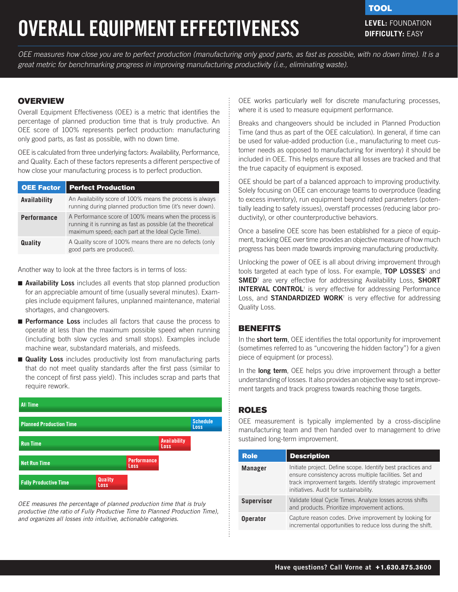# **OVERALL EQUIPMENT EFFECTIVENESS**

**TOOL** 

**DIFFICULTY:** EASY

*OEE measures how close you are to perfect production (manufacturing only good parts, as fast as possible, with no down time). It is a great metric for benchmarking progress in improving manufacturing productivity (i.e., eliminating waste).*

# **OVERVIEW**

Overall Equipment Effectiveness (OEE) is a metric that identifies the percentage of planned production time that is truly productive. An OEE score of 100% represents perfect production: manufacturing only good parts, as fast as possible, with no down time.

OEE is calculated from three underlying factors: Availability, Performance, and Quality. Each of these factors represents a different perspective of how close your manufacturing process is to perfect production.

| <b>OEE Factor</b>  | <b>Perfect Production</b>                                                                                                                                                    |
|--------------------|------------------------------------------------------------------------------------------------------------------------------------------------------------------------------|
| Availability       | An Availability score of 100% means the process is always<br>running during planned production time (it's never down).                                                       |
| <b>Performance</b> | A Performance score of 100% means when the process is<br>running it is running as fast as possible (at the theoretical<br>maximum speed; each part at the Ideal Cycle Time). |
| Quality            | A Quality score of 100% means there are no defects (only<br>good parts are produced).                                                                                        |

Another way to look at the three factors is in terms of loss:

- Availability Loss includes all events that stop planned production for an appreciable amount of time (usually several minutes). Examples include equipment failures, unplanned maintenance, material shortages, and changeovers.
- Performance Loss includes all factors that cause the process to operate at less than the maximum possible speed when running (including both slow cycles and small stops). Examples include machine wear, substandard materials, and misfeeds.
- **Quality Loss** includes productivity lost from manufacturing parts that do not meet quality standards after the first pass (similar to the concept of first pass yield). This includes scrap and parts that require rework.



*OEE measures the percentage of planned production time that is truly productive (the ratio of Fully Productive Time to Planned Production Time), and organizes all losses into intuitive, actionable categories.*

OEE works particularly well for discrete manufacturing processes, where it is used to measure equipment performance.

Breaks and changeovers should be included in Planned Production Time (and thus as part of the OEE calculation). In general, if time can be used for value-added production (i.e., manufacturing to meet customer needs as opposed to manufacturing for inventory) it should be included in OEE. This helps ensure that all losses are tracked and that the true capacity of equipment is exposed.

OEE should be part of a balanced approach to improving productivity. Solely focusing on OEE can encourage teams to overproduce (leading to excess inventory), run equipment beyond rated parameters (potentially leading to safety issues), overstaff processes (reducing labor productivity), or other counterproductive behaviors.

Once a baseline OEE score has been established for a piece of equipment, tracking OEE over time provides an objective measure of how much progress has been made towards improving manufacturing productivity.

Unlocking the power of OEE is all about driving improvement through tools targeted at each type of loss. For example, [TOP LOSSES](http://www.perfectproduction.com/top-losses.htm)<sup>†</sup> and [SMED](http://www.perfectproduction.com/smed.htm)<sup>+</sup> are very effective for addressing Availability Loss, SHORT **[INTERVAL CONTROL](http://www.perfectproduction.com/short-interval-control.htm)**<sup>†</sup> is very effective for addressing Performance Loss, and **STANDARDIZED WORK**<sup>†</sup> is very effective for addressing Quality Loss.

# **BENEFITS**

In the **short term**, OEE identifies the total opportunity for improvement (sometimes referred to as "uncovering the hidden factory") for a given piece of equipment (or process).

In the long term, OEE helps you drive improvement through a better understanding of losses. It also provides an objective way to set improvement targets and track progress towards reaching those targets.

# ROLES

OEE measurement is typically implemented by a cross-discipline manufacturing team and then handed over to management to drive sustained long-term improvement.

| <b>Role</b>       | <b>Description</b>                                                                                                                                                                                                           |
|-------------------|------------------------------------------------------------------------------------------------------------------------------------------------------------------------------------------------------------------------------|
| <b>Manager</b>    | Initiate project. Define scope. Identify best practices and<br>ensure consistency across multiple facilities. Set and<br>track improvement targets. Identify strategic improvement<br>initiatives. Audit for sustainability. |
| <b>Supervisor</b> | Validate Ideal Cycle Times. Analyze losses across shifts<br>and products. Prioritize improvement actions.                                                                                                                    |
| <b>Operator</b>   | Capture reason codes. Drive improvement by looking for<br>incremental opportunities to reduce loss during the shift.                                                                                                         |